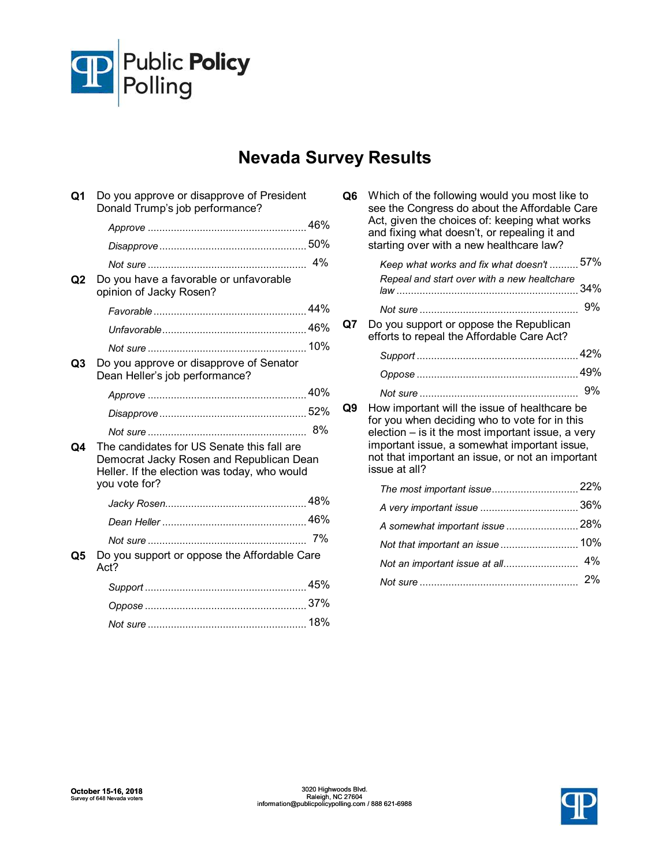

## **Nevada Survey Results**

| Ο1 | Do you approve or disapprove of President<br>Donald Trump's job performance?                                                                            |     |
|----|---------------------------------------------------------------------------------------------------------------------------------------------------------|-----|
|    |                                                                                                                                                         |     |
|    |                                                                                                                                                         |     |
|    |                                                                                                                                                         | 4%  |
| Q2 | Do you have a favorable or unfavorable<br>opinion of Jacky Rosen?                                                                                       |     |
|    |                                                                                                                                                         |     |
|    |                                                                                                                                                         |     |
|    |                                                                                                                                                         | 10% |
| Q3 | Do you approve or disapprove of Senator<br>Dean Heller's job performance?                                                                               |     |
|    |                                                                                                                                                         |     |
|    |                                                                                                                                                         |     |
| O4 | The candidates for US Senate this fall are<br>Democrat Jacky Rosen and Republican Dean<br>Heller. If the election was today, who would<br>you vote for? | 8%  |
|    |                                                                                                                                                         |     |
|    |                                                                                                                                                         |     |
|    |                                                                                                                                                         |     |
| Q5 | Do you support or oppose the Affordable Care<br>Act?                                                                                                    |     |
|    |                                                                                                                                                         |     |
|    |                                                                                                                                                         |     |
|    |                                                                                                                                                         |     |

| Q6  | Which of the following would you most like to<br>see the Congress do about the Affordable Care<br>Act, given the choices of: keeping what works<br>and fixing what doesn't, or repealing it and<br>starting over with a new healthcare law?                              |       |
|-----|--------------------------------------------------------------------------------------------------------------------------------------------------------------------------------------------------------------------------------------------------------------------------|-------|
|     | Keep what works and fix what doesn't  57%                                                                                                                                                                                                                                |       |
|     | Repeal and start over with a new healtchare                                                                                                                                                                                                                              | 34%   |
|     |                                                                                                                                                                                                                                                                          | 9%    |
| Q7. | Do you support or oppose the Republican<br>efforts to repeal the Affordable Care Act?                                                                                                                                                                                    |       |
|     |                                                                                                                                                                                                                                                                          |       |
|     |                                                                                                                                                                                                                                                                          |       |
|     |                                                                                                                                                                                                                                                                          | 9%    |
| Q9  | How important will the issue of healthcare be<br>for you when deciding who to vote for in this<br>election - is it the most important issue, a very<br>important issue, a somewhat important issue,<br>not that important an issue, or not an important<br>issue at all? |       |
|     |                                                                                                                                                                                                                                                                          |       |
|     |                                                                                                                                                                                                                                                                          |       |
|     | A somewhat important issue  28%                                                                                                                                                                                                                                          |       |
|     | Not that important an issue                                                                                                                                                                                                                                              | 10%   |
|     | Not an important issue at all                                                                                                                                                                                                                                            | $4\%$ |
|     |                                                                                                                                                                                                                                                                          | 2%    |

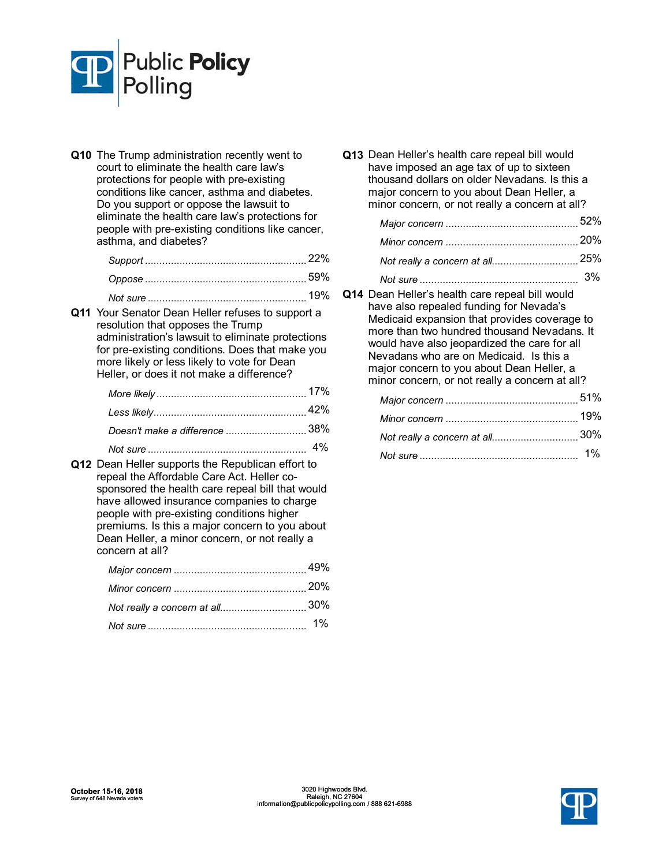

**Q10** The Trump administration recently went to court to eliminate the health care law's protections for people with pre-existing conditions like cancer, asthma and diabetes. Do you support or oppose the lawsuit to eliminate the health care law's protections for people with pre-existing conditions like cancer, asthma, and diabetes?

| 19% |
|-----|

**Q11** Your Senator Dean Heller refuses to support a resolution that opposes the Trump administration's lawsuit to eliminate protections for pre-existing conditions. Does that make you more likely or less likely to vote for Dean Heller, or does it not make a difference?

| Doesn't make a difference 38% |  |
|-------------------------------|--|

*Not sure* 4% ....................................................... **Q12** Dean Heller supports the Republican effort to repeal the Affordable Care Act. Heller cosponsored the health care repeal bill that would have allowed insurance companies to charge people with pre-existing conditions higher premiums. Is this a major concern to you about Dean Heller, a minor concern, or not really a concern at all?

**Q13** Dean Heller's health care repeal bill would have imposed an age tax of up to sixteen thousand dollars on older Nevadans. Is this a major concern to you about Dean Heller, a minor concern, or not really a concern at all?

| Not sure | 3% |
|----------|----|

**Q14** Dean Heller's health care repeal bill would have also repealed funding for Nevada's Medicaid expansion that provides coverage to more than two hundred thousand Nevadans. It would have also jeopardized the care for all Nevadans who are on Medicaid. Is this a major concern to you about Dean Heller, a minor concern, or not really a concern at all?

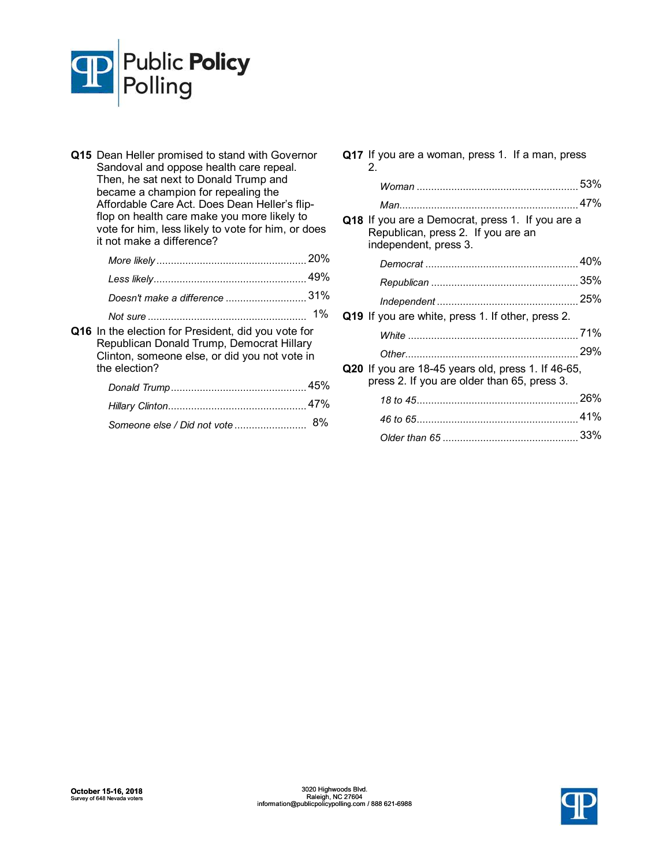

- **Q15** Dean Heller promised to stand with Governor Sandoval and oppose health care repeal. Then, he sat next to Donald Trump and became a champion for repealing the Affordable Care Act. Does Dean Heller's flipflop on health care make you more likely to vote for him, less likely to vote for him, or does it not make a difference? *More likely* 20% .................................................... *Less likely* 49% ..................................................... *Doesn* 31% *'t make a difference* ............................
	- *Not sure* 1% .......................................................
- **Q16** In the election for President, did you vote for Republican Donald Trump, Democrat Hillary Clinton, someone else, or did you not vote in the election?

|                                 | 45% |
|---------------------------------|-----|
|                                 | 47% |
| Someone else / Did not vote  8% |     |

**Q17** If you are a woman, press 1. If a man, press 2. *Woman* 53% ........................................................ *Man* 47% .............................................................. **Q18** If you are a Democrat, press 1. If you are a Republican, press 2. If you are an independent, press 3. *Democrat* 40% ..................................................... *Republican* 35% ................................................... 25% *Independent* ................................................. **Q19** If you are white, press 1. If other, press 2. *White* 71% ........................................................... *Other* 29% ............................................................ **Q20** If you are 18-45 years old, press 1. If 46-65, press 2. If you are older than 65, press 3. *18* 26% *to 45*........................................................ *46* 41% *to 65*........................................................ *Older than 65* 33% ...............................................

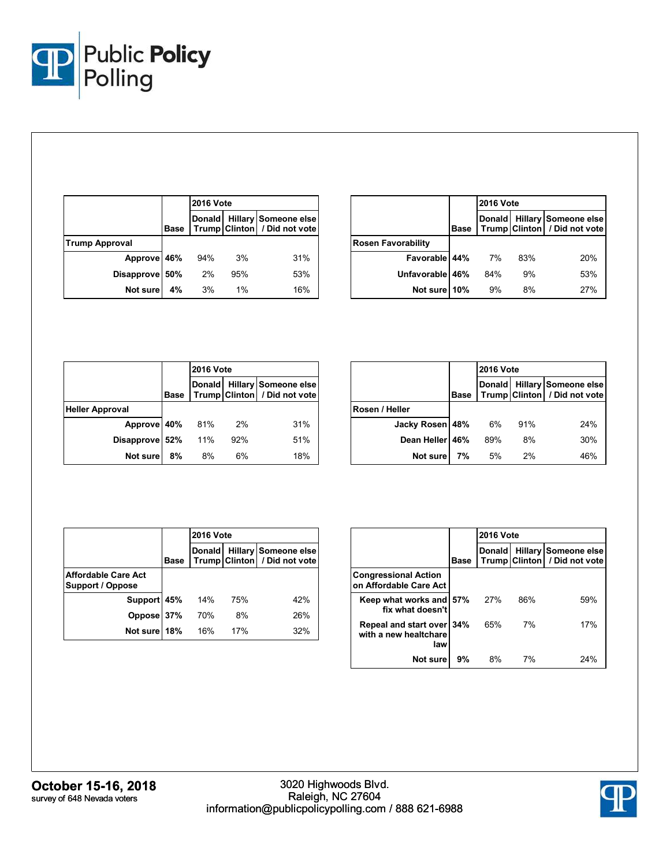

|                       |             | <b>2016 Vote</b> |       |                                                      |
|-----------------------|-------------|------------------|-------|------------------------------------------------------|
|                       | <b>Base</b> | <b>Donald</b>    |       | Hillary Someone else<br>Trump Clinton / Did not vote |
| <b>Trump Approval</b> |             |                  |       |                                                      |
| Approve 46%           |             | 94%              | 3%    | 31%                                                  |
| Disapprove 50%        |             | 2%               | 95%   | 53%                                                  |
| Not sure              | 4%          | 3%               | $1\%$ | 16%                                                  |

|                           |             | <b>2016 Vote</b> |     |                                                             |
|---------------------------|-------------|------------------|-----|-------------------------------------------------------------|
|                           | <b>Base</b> | <b>Donald</b>    |     | <b>Hillary Someone else</b><br>Trump Clinton / Did not vote |
| <b>Rosen Favorability</b> |             |                  |     |                                                             |
| Favorable 44%             |             | 7%               | 83% | 20%                                                         |
| Unfavorable 46%           |             | 84%              | 9%  | 53%                                                         |
| Not sure 10%              |             | 9%               | 8%  | 27%                                                         |

|                        |      | <b>2016 Vote</b> |     |                                                             |
|------------------------|------|------------------|-----|-------------------------------------------------------------|
|                        | Base |                  |     | Donald Hillary Someone else<br>Trump Clinton / Did not vote |
| <b>Heller Approval</b> |      |                  |     |                                                             |
| Approve 40%            |      | 81%              | 2%  | 31%                                                         |
| Disapprove 52%         |      | 11%              | 92% | 51%                                                         |
| Not sure               | 8%   | 8%               | 6%  | 18%                                                         |

|                 |             | <b>2016 Vote</b> |     |                                                             |
|-----------------|-------------|------------------|-----|-------------------------------------------------------------|
|                 | <b>Base</b> |                  |     | Donald Hillary Someone else<br>Trump Clinton / Did not vote |
| Rosen / Heller  |             |                  |     |                                                             |
| Jacky Rosen 48% |             | 6%               | 91% | 24%                                                         |
| Dean Heller 46% |             | 89%              | 8%  | 30%                                                         |
| Not sure        | 7%          | 5%               | 2%  | 46%                                                         |

|                                                       |             | <b>2016 Vote</b> |     |                                                      |  |  |
|-------------------------------------------------------|-------------|------------------|-----|------------------------------------------------------|--|--|
|                                                       | <b>Base</b> | Donald           |     | Hillary Someone else<br>Trump Clinton / Did not vote |  |  |
| <b>Affordable Care Act</b><br><b>Support / Oppose</b> |             |                  |     |                                                      |  |  |
| Support 45%                                           |             | 14%              | 75% | 42%                                                  |  |  |
| Oppose 37%                                            |             | 70%              | 8%  | 26%                                                  |  |  |
| Not sure 18%                                          |             | 16%              | 17% | 32%                                                  |  |  |

|                                                           |             | <b>2016 Vote</b> |     |                                                      |  |  |
|-----------------------------------------------------------|-------------|------------------|-----|------------------------------------------------------|--|--|
|                                                           | <b>Base</b> | Donald           |     | Hillary Someone else<br>Trump Clinton / Did not vote |  |  |
| <b>Congressional Action</b><br>on Affordable Care Act     |             |                  |     |                                                      |  |  |
| Keep what works and 57%<br>fix what doesn't               |             | 27%              | 86% | 59%                                                  |  |  |
| Repeal and start over 34%<br>with a new healtchare<br>law |             | 65%              | 7%  | 17%                                                  |  |  |
| Not sure                                                  | 9%          | 8%               | 7%  | 24%                                                  |  |  |

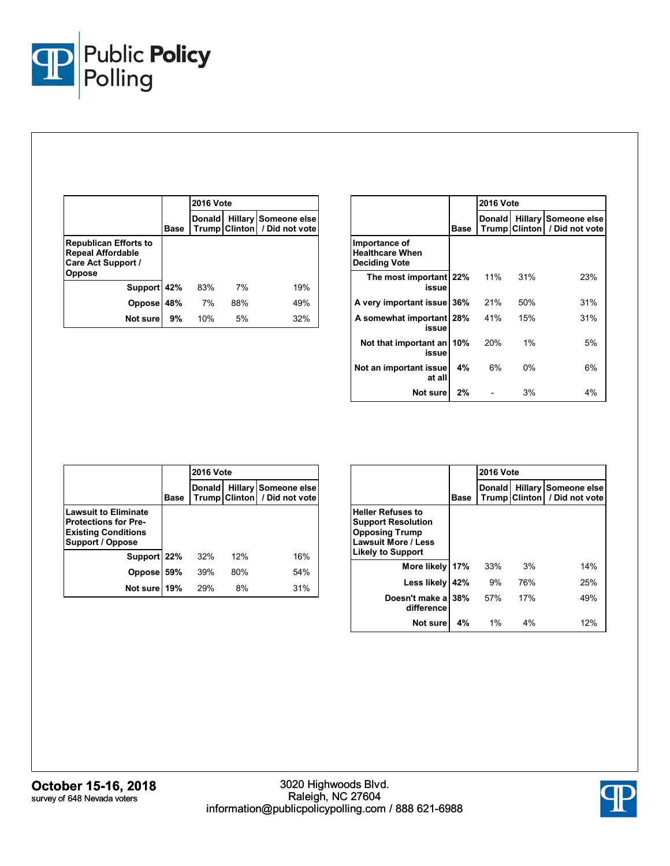

|                                                                                          |             | <b>2016 Vote</b> |     |                                                      |  |  |
|------------------------------------------------------------------------------------------|-------------|------------------|-----|------------------------------------------------------|--|--|
|                                                                                          | <b>Base</b> | <b>Donald</b>    |     | Hillary Someone else<br>Trump Clinton / Did not vote |  |  |
| <b>Republican Efforts to</b><br><b>Repeal Affordable</b><br>Care Act Support /<br>Oppose |             |                  |     |                                                      |  |  |
| Support 42%                                                                              |             | 83%              | 7%  | 19%                                                  |  |  |
| <b>Oppose</b>                                                                            | 48%         | 7%               | 88% | 49%                                                  |  |  |
| Not sure                                                                                 | 9%          | 10%              | 5%  | 32%                                                  |  |  |

|                                                                 |      | <b>2016 Vote</b> |                      |                                               |  |  |
|-----------------------------------------------------------------|------|------------------|----------------------|-----------------------------------------------|--|--|
|                                                                 | Base |                  | <b>Trump Clinton</b> | Donald Hillary Someone else<br>/ Did not vote |  |  |
| Importance of<br><b>Healthcare When</b><br><b>Deciding Vote</b> |      |                  |                      |                                               |  |  |
| The most important 22%<br>issue                                 |      | 11%              | 31%                  | 23%                                           |  |  |
| A very important issue                                          | 36%  | 21%              | 50%                  | 31%                                           |  |  |
| A somewhat important 28%<br>issue                               |      | 41%              | 15%                  | 31%                                           |  |  |
| Not that important an 10%<br>issue                              |      | 20%              | 1%                   | 5%                                            |  |  |
| Not an important issue<br>at all                                | 4%   | 6%               | $0\%$                | 6%                                            |  |  |
| Not sure                                                        | 2%   |                  | 3%                   | 4%                                            |  |  |

|                                                                                                              |             | <b>2016 Vote</b> |     |                                                        |  |
|--------------------------------------------------------------------------------------------------------------|-------------|------------------|-----|--------------------------------------------------------|--|
|                                                                                                              | <b>Base</b> | <b>Donald</b>    |     | Hillary Someone else<br>Trump Clinton   / Did not vote |  |
| <b>Lawsuit to Eliminate</b><br><b>Protections for Pre-</b><br><b>Existing Conditions</b><br>Support / Oppose |             |                  |     |                                                        |  |
| Support 22%                                                                                                  |             | 32%              | 12% | 16%                                                    |  |
| <b>Oppose</b>                                                                                                | 59%         | 39%              | 80% | 54%                                                    |  |
| Not sure                                                                                                     | 19%         | 29%              | 8%  | 31%                                                    |  |

|                                                                                                                                          |      | <b>2016 Vote</b> |                      |                                        |  |  |
|------------------------------------------------------------------------------------------------------------------------------------------|------|------------------|----------------------|----------------------------------------|--|--|
|                                                                                                                                          | Base | <b>Donald</b>    | <b>Trump Clinton</b> | Hillary Someone else<br>/ Did not vote |  |  |
| <b>Heller Refuses to</b><br><b>Support Resolution</b><br><b>Opposing Trump</b><br><b>Lawsuit More / Less</b><br><b>Likely to Support</b> |      |                  |                      |                                        |  |  |
| More likely                                                                                                                              | 17%  | 33%              | 3%                   | 14%                                    |  |  |
| Less likely                                                                                                                              | 42%  | 9%               | 76%                  | 25%                                    |  |  |
| Doesn't make a<br>difference                                                                                                             | 38%  | 57%              | 17%                  | 49%                                    |  |  |
| Not sure                                                                                                                                 | 4%   | 1%               | 4%                   | 12%                                    |  |  |

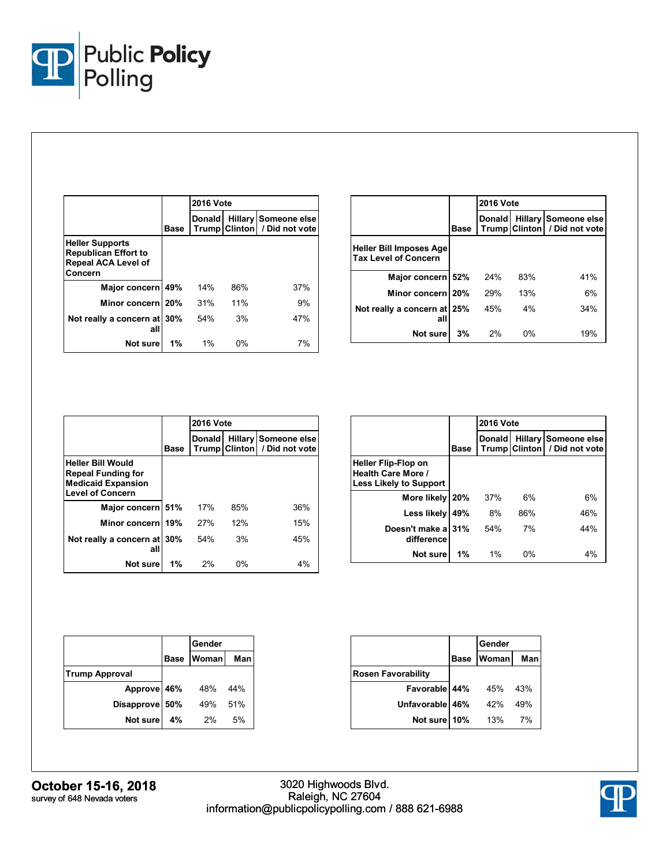

|                                                                                                |      | <b>2016 Vote</b> |                      |                                        |  |
|------------------------------------------------------------------------------------------------|------|------------------|----------------------|----------------------------------------|--|
|                                                                                                | Base | <b>Donald</b>    | <b>Trump Clinton</b> | Hillary Someone else<br>/ Did not vote |  |
| <b>Heller Supports</b><br><b>Republican Effort to</b><br><b>Repeal ACA Level of</b><br>Concern |      |                  |                      |                                        |  |
| Major concern                                                                                  | 49%  | 14%              | 86%                  | 37%                                    |  |
| Minor concern 20%                                                                              |      | 31%              | 11%                  | 9%                                     |  |
| Not really a concern at<br>all                                                                 | 30%  | 54%              | 3%                   | 47%                                    |  |
| Not sure                                                                                       | 1%   | 1%               | $0\%$                | 7%                                     |  |

|                                                               |             | <b>2016 Vote</b> |       |                                                        |  |  |
|---------------------------------------------------------------|-------------|------------------|-------|--------------------------------------------------------|--|--|
|                                                               | <b>Base</b> | <b>Donald</b>    |       | Hillary Someone else<br>Trump Clinton   / Did not vote |  |  |
| <b>Heller Bill Imposes Age</b><br><b>Tax Level of Concern</b> |             |                  |       |                                                        |  |  |
| Major concern 52%                                             |             | 24%              | 83%   | 41%                                                    |  |  |
| Minor concern 20%                                             |             | 29%              | 13%   | 6%                                                     |  |  |
| Not really a concern at 25%<br>all                            |             | 45%              | 4%    | 34%                                                    |  |  |
| Not sure                                                      | 3%          | 2%               | $0\%$ | 19%                                                    |  |  |

|                                                                                                               |             | <b>2016 Vote</b> |       |                                                             |  |  |
|---------------------------------------------------------------------------------------------------------------|-------------|------------------|-------|-------------------------------------------------------------|--|--|
|                                                                                                               | <b>Base</b> | <b>Donald</b>    |       | <b>Hillary Someone else</b><br>Trump Clinton / Did not vote |  |  |
| <b>Heller Bill Would</b><br><b>Repeal Funding for</b><br><b>Medicaid Expansion</b><br><b>Level of Concern</b> |             |                  |       |                                                             |  |  |
| Major concern 51%                                                                                             |             | 17%              | 85%   | 36%                                                         |  |  |
| Minor concern                                                                                                 | 19%         | 27%              | 12%   | 15%                                                         |  |  |
| Not really a concern at 30%<br>all                                                                            |             | 54%              | 3%    | 45%                                                         |  |  |
| Not sure                                                                                                      | 1%          | 2%               | $0\%$ | 4%                                                          |  |  |

|                                                                     |             | <b>2016 Vote</b>              |                |                                        |  |  |
|---------------------------------------------------------------------|-------------|-------------------------------|----------------|----------------------------------------|--|--|
|                                                                     | <b>Base</b> | <b>Donald</b><br><b>Trump</b> | <b>Clinton</b> | Hillary Someone else<br>/ Did not vote |  |  |
| Heller Flip-Flop on<br>Health Care More /<br>Less Likely to Support |             |                               |                |                                        |  |  |
| More likely                                                         | 20%         | 37%                           | 6%             | 6%                                     |  |  |
| Less likely                                                         | 49%         | 8%                            | 86%            | 46%                                    |  |  |
| Doesn't make a<br>difference                                        | 31%         | 54%                           | 7%             | 44%                                    |  |  |
| Not sure                                                            | 1%          | 1%                            | 0%             | 4%                                     |  |  |

|                       |             | Gender |     |
|-----------------------|-------------|--------|-----|
|                       | <b>Base</b> | Woman  | Man |
| <b>Trump Approval</b> |             |        |     |
| Approve 46%           |             | 48%    | 44% |
| Disapprove 50%        |             | 49%    | 51% |
| Not sure              | 4%          | 2%     | 5%  |

|                           |             | Gender |     |
|---------------------------|-------------|--------|-----|
|                           | <b>Base</b> | Woman  | Man |
| <b>Rosen Favorability</b> |             |        |     |
| Favorable 44%             |             | 45%    | 43% |
| Unfavorable 46%           |             | 42%    | 49% |
| Not sure 10%              |             | 13%    | 7%  |

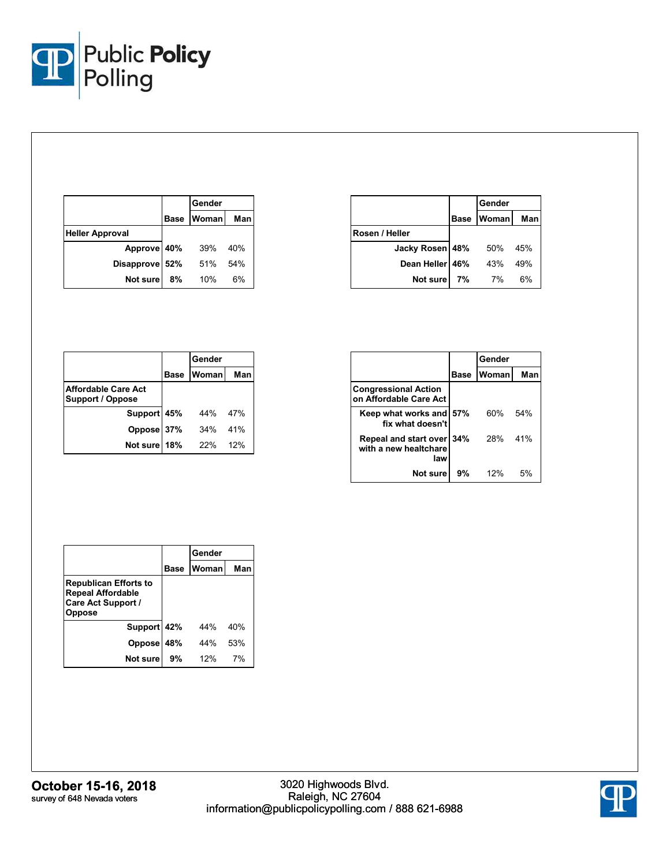

|                        |             | Gender |     |
|------------------------|-------------|--------|-----|
|                        | <b>Base</b> | Woman  | Man |
| <b>Heller Approval</b> |             |        |     |
| Approve 40%            |             | 39%    | 40% |
| Disapprove 52%         |             | 51%    | 54% |
| Not sure               | 8%          | 10%    | 6%  |

|                 |             | Gender       |     |
|-----------------|-------------|--------------|-----|
|                 | <b>Base</b> | <b>Woman</b> | Man |
| Rosen / Heller  |             |              |     |
| Jacky Rosen 48% |             | 50%          | 45% |
| Dean Heller 46% |             | 43%          | 49% |
| Not sure        | 7%          | 7%           | 6%  |

|                                                       |             | Gender |     |
|-------------------------------------------------------|-------------|--------|-----|
|                                                       | <b>Base</b> | Woman  | Man |
| <b>Affordable Care Act</b><br><b>Support / Oppose</b> |             |        |     |
| Support 45%                                           |             | 44%    | 47% |
| Oppose 37%                                            |             | 34%    | 41% |
| Not sure 18%                                          |             | 22%    | 12% |

|                                                           |      | Gender |     |
|-----------------------------------------------------------|------|--------|-----|
|                                                           | Base | Woman  | Man |
| <b>Congressional Action</b><br>on Affordable Care Act     |      |        |     |
| Keep what works and 57%<br>fix what doesn't               |      | 60%    | 54% |
| Repeal and start over 34%<br>with a new healtchare<br>law |      | 28%    | 41% |
| Not sure                                                  | 9%   | 12%    | .5% |

|                                                                                          |      | Gender |     |
|------------------------------------------------------------------------------------------|------|--------|-----|
|                                                                                          | Base | Woman  | Man |
| <b>Republican Efforts to</b><br><b>Repeal Affordable</b><br>Care Act Support /<br>Oppose |      |        |     |
| Support 42%                                                                              |      | 44%    | 40% |
| <b>Oppose</b>                                                                            | 48%  | 44%    | 53% |
| Not sure                                                                                 | 9%   | 12%    | 7%  |

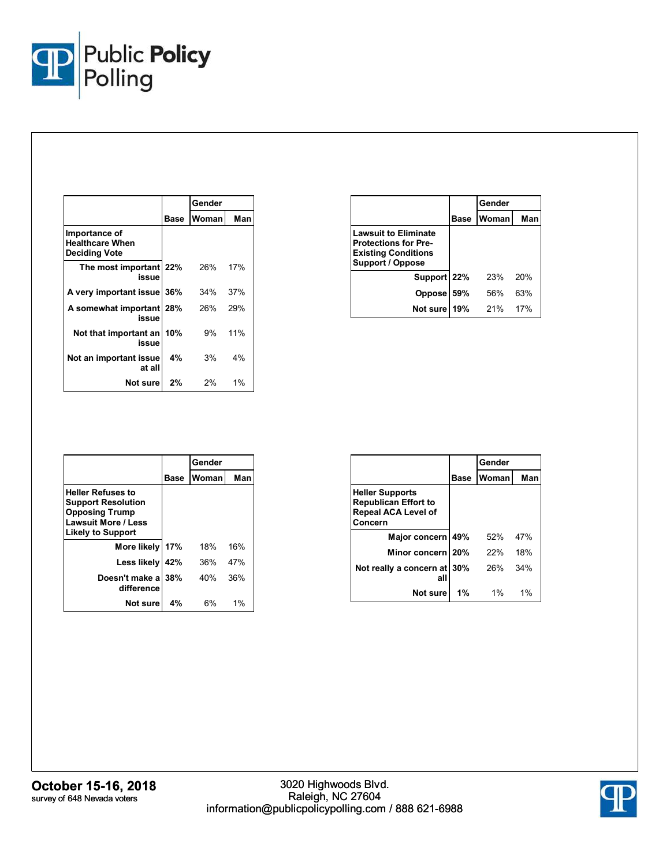

|                                                                 | Gender |       |       |  |  |
|-----------------------------------------------------------------|--------|-------|-------|--|--|
|                                                                 | Base   | Woman | Man   |  |  |
| Importance of<br><b>Healthcare When</b><br><b>Deciding Vote</b> |        |       |       |  |  |
| The most important 22%<br>issue                                 |        | 26%   | 17%   |  |  |
| A very important issue 36%                                      |        | 34%   | 37%   |  |  |
| A somewhat important 28%<br>issue                               |        | 26%   | 29%   |  |  |
| Not that important an<br>issue                                  | 10%    | 9%    | 11%   |  |  |
| Not an important issue<br>at all                                | 4%     | 3%    | 4%    |  |  |
| Not surel                                                       | 2%     | 2%    | $1\%$ |  |  |

|                                                                                                              |      | Gender |     |
|--------------------------------------------------------------------------------------------------------------|------|--------|-----|
|                                                                                                              | Base | Woman  | Man |
| <b>Lawsuit to Eliminate</b><br><b>Protections for Pre-</b><br><b>Existing Conditions</b><br>Support / Oppose |      |        |     |
| Support 22%                                                                                                  |      | 23%    | 20% |
| Oppose                                                                                                       | 59%  | .56%   | 63% |
| Not sure                                                                                                     | 19%  | 21%    | 17% |

|                                                                                                                                          |            | Gender |     |
|------------------------------------------------------------------------------------------------------------------------------------------|------------|--------|-----|
|                                                                                                                                          | Base       | Woman  | Man |
| <b>Heller Refuses to</b><br><b>Support Resolution</b><br><b>Opposing Trump</b><br><b>Lawsuit More / Less</b><br><b>Likely to Support</b> |            |        |     |
| More likely                                                                                                                              | 17%        | 18%    | 16% |
| Less likely                                                                                                                              | 42%        | 36%    | 47% |
| Doesn't make a<br>difference                                                                                                             | <b>38%</b> | 40%    | 36% |
| Not sure                                                                                                                                 | 4%         | 6%     | 1%  |

|                                                                                                | Gender |       |     |
|------------------------------------------------------------------------------------------------|--------|-------|-----|
|                                                                                                | Base   | Woman | Man |
| <b>Heller Supports</b><br><b>Republican Effort to</b><br><b>Repeal ACA Level of</b><br>Concern |        |       |     |
| Major concern                                                                                  | 49%    | 52%   | 47% |
| Minor concern 20%                                                                              |        | 22%   | 18% |
| Not really a concern at<br>all                                                                 | 30%    | 26%   | 34% |
| Not sure                                                                                       | 1%     | $1\%$ | 1%  |

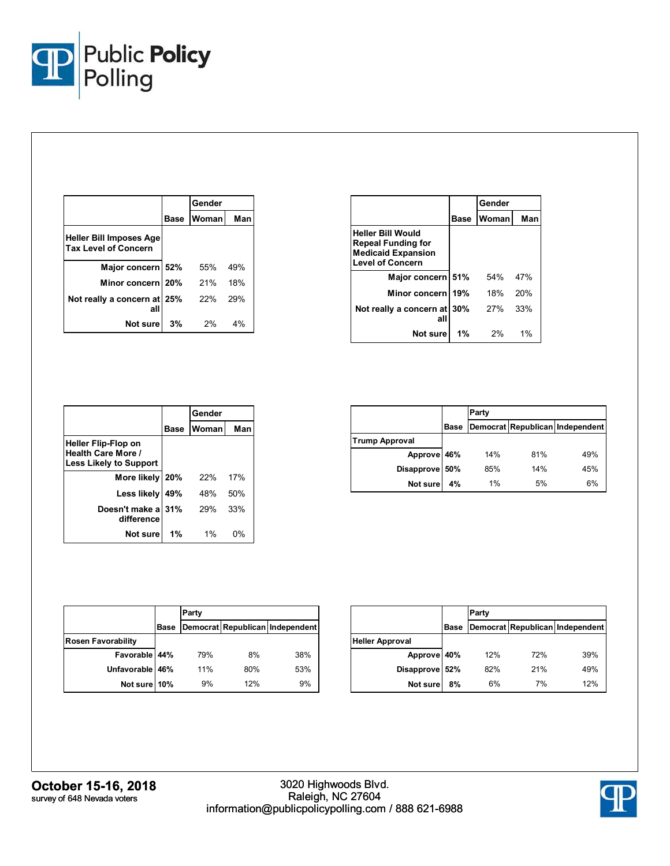

|                                                               |      | Gender       |     |
|---------------------------------------------------------------|------|--------------|-----|
|                                                               | Base | <b>Woman</b> | Man |
| <b>Heller Bill Imposes Age</b><br><b>Tax Level of Concern</b> |      |              |     |
| Major concern 52%                                             |      | 55%          | 49% |
| Minor concern 20%                                             |      | 21%          | 18% |
| Not really a concern at 25%<br>al                             |      | 22%          | 29% |
| Not sure                                                      | 3%   | 2%           | 4%  |

|                                                                                                               |      | Gender |     |
|---------------------------------------------------------------------------------------------------------------|------|--------|-----|
|                                                                                                               | Base | Woman  | Man |
| <b>Heller Bill Would</b><br><b>Repeal Funding for</b><br><b>Medicaid Expansion</b><br><b>Level of Concern</b> |      |        |     |
| Major concern 51%                                                                                             |      | 54%    | 47% |
| Minor concern 19%                                                                                             |      | 18%    | 20% |
| Not really a concern at 30%<br>all                                                                            |      | 27%    | 33% |
| Not sure                                                                                                      | 1%   | 2%     | 1%  |

|                                                                                          |      | Gender |     |
|------------------------------------------------------------------------------------------|------|--------|-----|
|                                                                                          | Base | Woman  | Man |
| <b>Heller Flip-Flop on</b><br><b>Health Care More /</b><br><b>Less Likely to Support</b> |      |        |     |
| More likely 20%                                                                          |      | 22%    | 17% |
| Less likely                                                                              | 49%  | 48%    | 50% |
| Doesn't make a<br>difference                                                             | 31%  | 29%    | 33% |
| Not sure                                                                                 | 1%   | 1%     | 0%  |

|                       |             | Party |     |                                 |
|-----------------------|-------------|-------|-----|---------------------------------|
|                       | <b>Base</b> |       |     | Democrat Republican Independent |
| <b>Trump Approval</b> |             |       |     |                                 |
| Approve 46%           |             | 14%   | 81% | 49%                             |
| Disapprove 50%        |             | 85%   | 14% | 45%                             |
| <b>Not sure</b>       | 4%          | 1%    | 5%  | 6%                              |

|                           |      | Party |     |                                 |  |
|---------------------------|------|-------|-----|---------------------------------|--|
|                           | Base |       |     | Democrat Republican Independent |  |
| <b>Rosen Favorability</b> |      |       |     |                                 |  |
| Favorable 44%             |      | 79%   | 8%  | 38%                             |  |
| Unfavorable 46%           |      | 11%   | 80% | 53%                             |  |
| Not sure                  | 10%  | 9%    | 12% | 9%                              |  |

|                        |      | Party |     |                                 |
|------------------------|------|-------|-----|---------------------------------|
|                        | Base |       |     | Democrat Republican Independent |
| <b>Heller Approval</b> |      |       |     |                                 |
| Approve 40%            |      | 12%   | 72% | 39%                             |
| Disapprove 52%         |      | 82%   | 21% | 49%                             |
| Not sure               | 8%   | 6%    | 7%  | 12%                             |

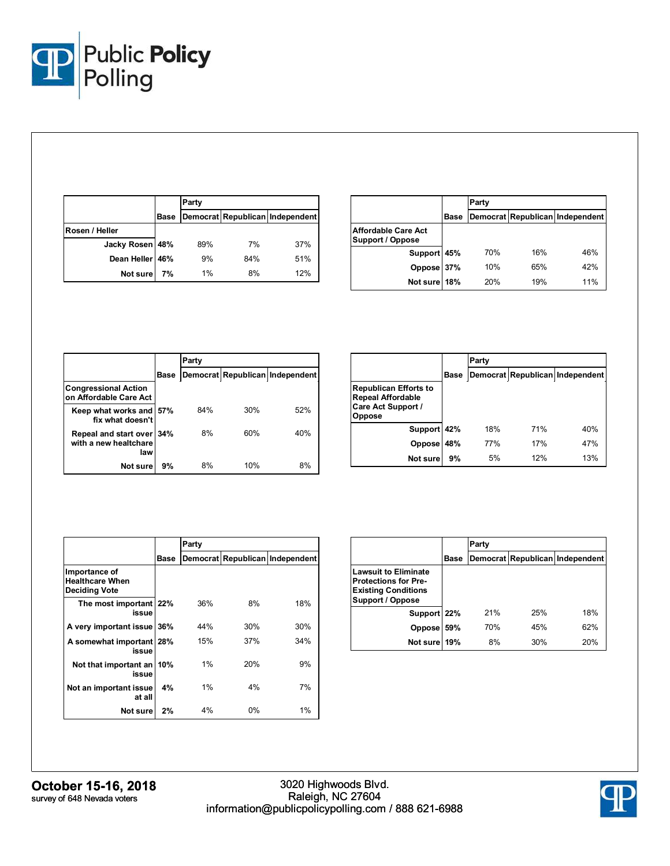

|                 |             | Party |     |                                 |
|-----------------|-------------|-------|-----|---------------------------------|
|                 | <b>Base</b> |       |     | Democrat Republican Independent |
| Rosen / Heller  |             |       |     |                                 |
| Jacky Rosen 48% |             | 89%   | 7%  | 37%                             |
| Dean Heller 46% |             | 9%    | 84% | 51%                             |
| Not sure        | 7%          | 1%    | 8%  | 12%                             |

|                                                |      | Party      |     |                                 |
|------------------------------------------------|------|------------|-----|---------------------------------|
|                                                | Base |            |     | Democrat Republican Independent |
| <b>Affordable Care Act</b><br>Support / Oppose |      |            |     |                                 |
| Support 45%                                    |      | 70%        | 16% | 46%                             |
| Oppose 37%                                     |      | 10%        | 65% | 42%                             |
| Not sure 18%                                   |      | <b>20%</b> | 19% | 11%                             |

|                                                       |             | Party |     |                                 |
|-------------------------------------------------------|-------------|-------|-----|---------------------------------|
|                                                       | <b>Base</b> |       |     | Democrat Republican Independent |
| <b>Congressional Action</b><br>on Affordable Care Act |             |       |     |                                 |
| Keep what works and<br>fix what doesn't               | 57%         | 84%   | 30% | 52%                             |
| Repeal and start over<br>with a new healtchare<br>law | 34%         | 8%    | 60% | 40%                             |
| Not sure                                              | 9%          | 8%    | 10% | 8%                              |

|                                                                                          |      | Party |     |                                 |
|------------------------------------------------------------------------------------------|------|-------|-----|---------------------------------|
|                                                                                          | Base |       |     | Democrat Republican Independent |
| <b>Republican Efforts to</b><br><b>Repeal Affordable</b><br>Care Act Support /<br>Oppose |      |       |     |                                 |
| Support 42%                                                                              |      | 18%   | 71% | 40%                             |
| Oppose                                                                                   | 48%  | 77%   | 17% | 47%                             |
| Not sure                                                                                 | 9%   | 5%    | 12% | 13%                             |

|                                                                 |      | Party |     |                                 |  |  |
|-----------------------------------------------------------------|------|-------|-----|---------------------------------|--|--|
|                                                                 | Base |       |     | Democrat Republican Independent |  |  |
| Importance of<br><b>Healthcare When</b><br><b>Deciding Vote</b> |      |       |     |                                 |  |  |
| The most important 22%<br>issue                                 |      | 36%   | 8%  | 18%                             |  |  |
| A very important issue                                          | 36%  | 44%   | 30% | 30%                             |  |  |
| A somewhat important 28%<br>issue                               |      | 15%   | 37% | 34%                             |  |  |
| Not that important an<br>issue                                  | 10%  | 1%    | 20% | 9%                              |  |  |
| Not an important issue<br>at all                                | 4%   | 1%    | 4%  | 7%                              |  |  |
| Not sure l                                                      | 2%   | 4%    | 0%  | 1%                              |  |  |

|                                                                                                              |      | Party |     |                                 |
|--------------------------------------------------------------------------------------------------------------|------|-------|-----|---------------------------------|
|                                                                                                              | Base |       |     | Democrat Republican Independent |
| <b>Lawsuit to Eliminate</b><br><b>Protections for Pre-</b><br><b>Existing Conditions</b><br>Support / Oppose |      |       |     |                                 |
| Support 22%                                                                                                  |      | 21%   | 25% | 18%                             |
| <b>Oppose</b>                                                                                                | 59%  | 70%   | 45% | 62%                             |
| Not sure                                                                                                     | 19%  | 8%    | 30% | 20%                             |

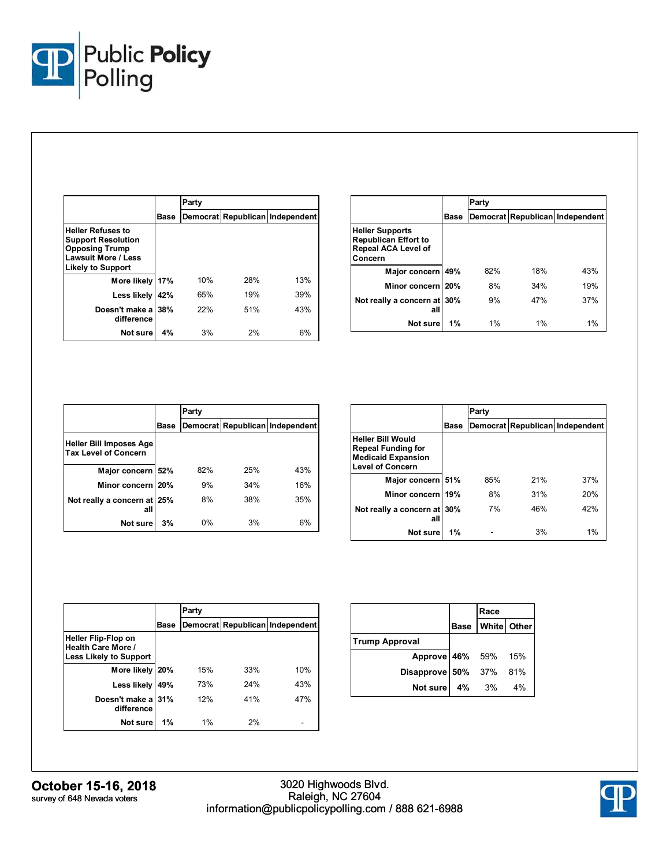

|                                                                                                                                   |      | Party |     |                                 |
|-----------------------------------------------------------------------------------------------------------------------------------|------|-------|-----|---------------------------------|
|                                                                                                                                   | Base |       |     | Democrat Republican Independent |
| <b>Heller Refuses to</b><br><b>Support Resolution</b><br><b>Opposing Trump</b><br>Lawsuit More / Less<br><b>Likely to Support</b> |      |       |     |                                 |
| More likely                                                                                                                       | 17%  | 10%   | 28% | 13%                             |
| Less likely                                                                                                                       | 42%  | 65%   | 19% | 39%                             |
| Doesn't make a<br>difference                                                                                                      | 38%  | 22%   | 51% | 43%                             |
| Not sure                                                                                                                          | 4%   | 3%    | 2%  | 6%                              |

|                                                                                                |      | Party |       |                                 |
|------------------------------------------------------------------------------------------------|------|-------|-------|---------------------------------|
|                                                                                                | Base |       |       | Democrat Republican Independent |
| <b>Heller Supports</b><br><b>Republican Effort to</b><br><b>Repeal ACA Level of</b><br>Concern |      |       |       |                                 |
| Major concern                                                                                  | 49%  | 82%   | 18%   | 43%                             |
| Minor concern 20%                                                                              |      | 8%    | 34%   | 19%                             |
| Not really a concern at 30%<br>all                                                             |      | 9%    | 47%   | 37%                             |
| Not sure                                                                                       | 1%   | $1\%$ | $1\%$ | 1%                              |

|                                                               |             | Party |     |                                 |
|---------------------------------------------------------------|-------------|-------|-----|---------------------------------|
|                                                               | <b>Base</b> |       |     | Democrat Republican Independent |
| <b>Heller Bill Imposes Age</b><br><b>Tax Level of Concern</b> |             |       |     |                                 |
| Major concern 52%                                             |             | 82%   | 25% | 43%                             |
| Minor concern 20%                                             |             | 9%    | 34% | 16%                             |
| Not really a concern at 25%<br>all                            |             | 8%    | 38% | 35%                             |
| Not sure                                                      | 3%          | 0%    | 3%  | 6%                              |

|                                                                                                               |      | Party |     |                                 |  |  |
|---------------------------------------------------------------------------------------------------------------|------|-------|-----|---------------------------------|--|--|
|                                                                                                               | Base |       |     | Democrat Republican Independent |  |  |
| <b>Heller Bill Would</b><br><b>Repeal Funding for</b><br><b>Medicaid Expansion</b><br><b>Level of Concern</b> |      |       |     |                                 |  |  |
| Major concern 51%                                                                                             |      | 85%   | 21% | 37%                             |  |  |
| Minor concern                                                                                                 | 19%  | 8%    | 31% | 20%                             |  |  |
| Not really a concern at 30%<br>all                                                                            |      | 7%    | 46% | 42%                             |  |  |
| Not sure                                                                                                      | 1%   |       | 3%  | 1%                              |  |  |

|                                                                                          |      | Party |     |                                 |  |  |  |
|------------------------------------------------------------------------------------------|------|-------|-----|---------------------------------|--|--|--|
|                                                                                          | Base |       |     | Democrat Republican Independent |  |  |  |
| <b>Heller Flip-Flop on</b><br><b>Health Care More /</b><br><b>Less Likely to Support</b> |      |       |     |                                 |  |  |  |
| More likely                                                                              | 20%  | 15%   | 33% | 10%                             |  |  |  |
| Less likely                                                                              | 49%  | 73%   | 24% | 43%                             |  |  |  |
| Doesn't make a 31%<br>difference                                                         |      | 12%   | 41% | 47%                             |  |  |  |
| Not sure                                                                                 | 1%   | 1%    | 2%  |                                 |  |  |  |

|                        |          | Race                 |    |
|------------------------|----------|----------------------|----|
|                        |          | Base   White   Other |    |
| <b>Trump Approval</b>  |          |                      |    |
| Approve 46% 59% 15%    |          |                      |    |
| Disapprove 50% 37% 81% |          |                      |    |
| Not sure               | $4\%$ 3% |                      | 4% |

**October 15-16, 2018** survey of 648 Nevada voters

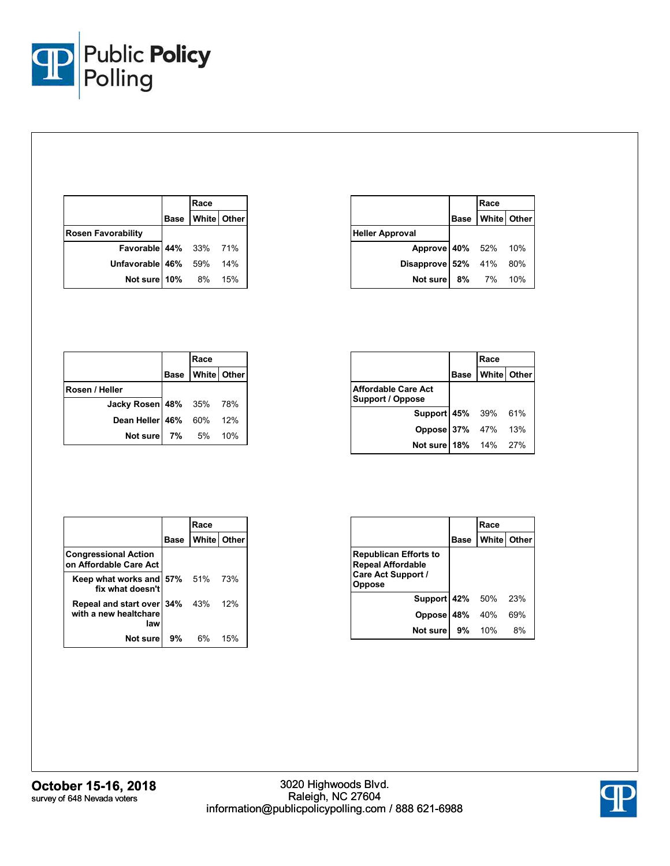

|                           | Race                 |  |
|---------------------------|----------------------|--|
|                           | Base   White   Other |  |
| <b>Rosen Favorability</b> |                      |  |
| Favorable 44% 33% 71%     |                      |  |
| Unfavorable 46% 59% 14%   |                      |  |
| Not sure 10% 8% 15%       |                      |  |

|                        | Race             |  |
|------------------------|------------------|--|
|                        | Base White Other |  |
| <b>Heller Approval</b> |                  |  |
| Approve 40% 52% 10%    |                  |  |
| Disapprove 52% 41% 80% |                  |  |
| Not sure 8% 7% 10%     |                  |  |

|                                | Race                 |     |
|--------------------------------|----------------------|-----|
|                                | Base   White   Other |     |
| Rosen / Heller                 |                      |     |
| <b>Jacky Rosen 48%</b> 35% 78% |                      |     |
| Dean Heller 46% 60% 12%        |                      |     |
| Not sure 7% 5%                 |                      | 10% |

|                                         | Race                 |  |
|-----------------------------------------|----------------------|--|
|                                         | Base   White   Other |  |
| Affordable Care Act<br>Support / Oppose |                      |  |
| Support 45% 39% 61%                     |                      |  |
| Oppose 37% 47% 13%                      |                      |  |
| Not sure 18% 14% 27%                    |                      |  |

|                                                               |      | Race |               |
|---------------------------------------------------------------|------|------|---------------|
|                                                               | Base |      | White   Other |
| <b>Congressional Action</b><br>on Affordable Care Act         |      |      |               |
| Keep what works and 57% 51% 73%<br>fix what doesn't           |      |      |               |
| Repeal and start over 34% 43%<br>with a new healtchare<br>law |      |      | 12%           |
| Not sure                                                      | 9%   | 6%   | 15%           |

|                                                                                                 |               | Race               |     |
|-------------------------------------------------------------------------------------------------|---------------|--------------------|-----|
|                                                                                                 | Base          | <b>White Other</b> |     |
| <b>Republican Efforts to</b><br><b>Repeal Affordable</b><br><b>Care Act Support /</b><br>Oppose |               |                    |     |
| <b>Support 42%</b> 50%                                                                          |               |                    | 23% |
| Oppose 48% 40%                                                                                  |               |                    | 69% |
| Not sure l                                                                                      | <b>9%</b> 10% |                    | 8%  |

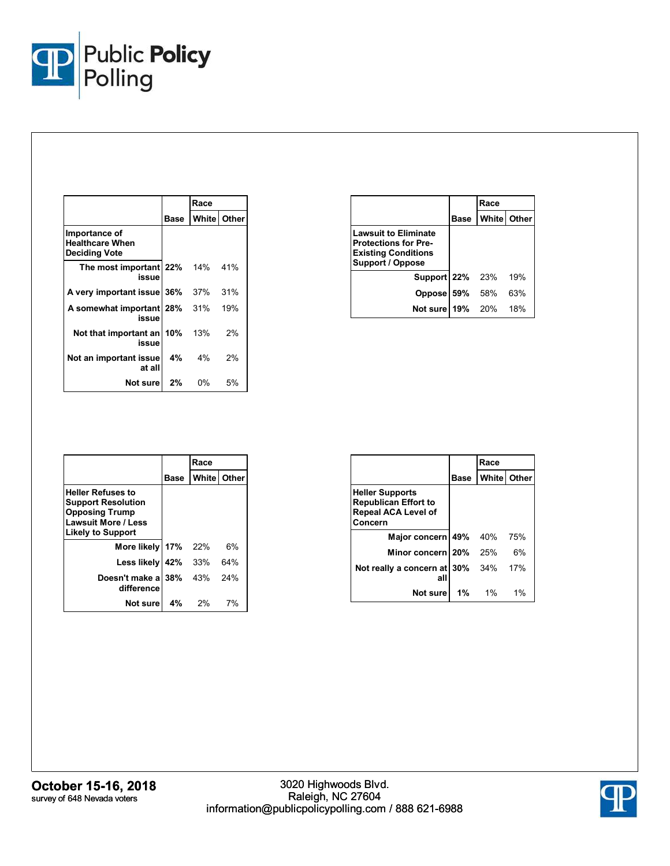

|                                                                 |         | Race  |               |
|-----------------------------------------------------------------|---------|-------|---------------|
|                                                                 | Base    |       | White   Other |
| Importance of<br><b>Healthcare When</b><br><b>Deciding Vote</b> |         |       |               |
| The most important 22% 14% 41%<br>issue                         |         |       |               |
| A very important issue 36%                                      |         | 37%   | 31%           |
| A somewhat important 28% 31%<br>issue                           |         |       | 19%           |
| Not that important an<br>issue                                  | 10% 13% |       | 2%            |
| Not an important issue<br>at all                                | 4%      | $4\%$ | 2%            |
| Not sure l                                                      | 2%      | 0%    | 5%            |

|                                                                                                                     |      | Race |               |
|---------------------------------------------------------------------------------------------------------------------|------|------|---------------|
|                                                                                                                     | Base |      | White   Other |
| <b>Lawsuit to Eliminate</b><br><b>Protections for Pre-</b><br><b>Existing Conditions</b><br><b>Support / Oppose</b> |      |      |               |
| Support 22% 23%                                                                                                     |      |      | 19%           |
| Oppose 59%                                                                                                          |      | 58%  | 63%           |
| Not sure 19% 20%                                                                                                    |      |      | 18%           |

|                                                                                                                                          |      | Race                 |     |
|------------------------------------------------------------------------------------------------------------------------------------------|------|----------------------|-----|
|                                                                                                                                          | Base | <b>White   Other</b> |     |
| <b>Heller Refuses to</b><br><b>Support Resolution</b><br><b>Opposing Trump</b><br><b>Lawsuit More / Less</b><br><b>Likely to Support</b> |      |                      |     |
| More likely 17%                                                                                                                          |      | 22%                  | 6%  |
| Less likely                                                                                                                              | 42%  | 33%                  | 64% |
| Doesn't make a<br>difference                                                                                                             | 38%  | 43%                  | 24% |
| Not sure                                                                                                                                 | 4%   | 2%                   | 7%  |

|                                                                                                |      | Race  |             |
|------------------------------------------------------------------------------------------------|------|-------|-------------|
|                                                                                                | Base |       | White Other |
| <b>Heller Supports</b><br><b>Republican Effort to</b><br><b>Repeal ACA Level of</b><br>Concern |      |       |             |
| Major concern 49% 40%                                                                          |      |       | 75%         |
| Minor concern 20% 25%                                                                          |      |       | 6%          |
| Not really a concern at 30% 34%<br>all                                                         |      |       | 17%         |
| Not sure                                                                                       | 1%   | $1\%$ | 1%          |

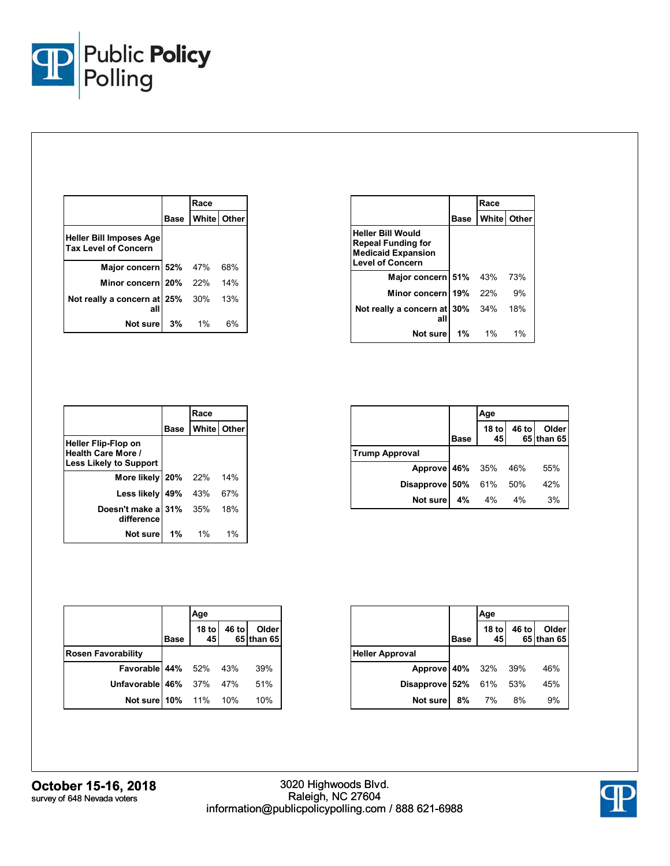

|                                                               |      | Race     |               |
|---------------------------------------------------------------|------|----------|---------------|
|                                                               | Base |          | White   Other |
| <b>Heller Bill Imposes Age</b><br><b>Tax Level of Concern</b> |      |          |               |
| Major concern 52% 47%                                         |      |          | 68%           |
| Minor concern 20% 22%                                         |      |          | 14%           |
| Not really a concern at 25%<br>al                             |      | 30%      | 13%           |
| Not sure                                                      |      | $3\%$ 1% | 6%            |

|                                                                                                               |      | Race  |                    |
|---------------------------------------------------------------------------------------------------------------|------|-------|--------------------|
|                                                                                                               | Base |       | <b>White Other</b> |
| <b>Heller Bill Would</b><br><b>Repeal Funding for</b><br><b>Medicaid Expansion</b><br><b>Level of Concern</b> |      |       |                    |
| Major concern 51% 43%                                                                                         |      |       | 73%                |
| Minor concern 19% 22%                                                                                         |      |       | 9%                 |
| Not really a concern at 30% 34%<br>all                                                                        |      |       | 18%                |
| Not sure                                                                                                      | 1%   | $1\%$ | 1%                 |

|                                                                                          |             | Race                 |     |
|------------------------------------------------------------------------------------------|-------------|----------------------|-----|
|                                                                                          | <b>Base</b> | <b>White   Other</b> |     |
| <b>Heller Flip-Flop on</b><br><b>Health Care More /</b><br><b>Less Likely to Support</b> |             |                      |     |
| More likely   20%                                                                        |             | <b>22%</b>           | 14% |
| Less likely                                                                              | 49%         | 43%                  | 67% |
| Doesn't make a 31% 35%<br>difference                                                     |             |                      | 18% |
| Not sure                                                                                 | $1\%$       | $1\%$                | 1%  |

|                       |             | Age                    |       |                     |
|-----------------------|-------------|------------------------|-------|---------------------|
|                       | <b>Base</b> | 18 <sub>to</sub><br>45 | 46 to | Older<br>65 than 65 |
| <b>Trump Approval</b> |             |                        |       |                     |
| Approve 46% 35% 46%   |             |                        |       | 55%                 |
| Disapprove 50%        |             | 61% 50%                |       | 42%                 |
| Not sure              | 4%          | 4%                     | 4%    | 3%                  |

|                                |             | Age           |       |                     |
|--------------------------------|-------------|---------------|-------|---------------------|
|                                | <b>Base</b> | $18$ to<br>45 | 46 to | Older<br>65 than 65 |
| <b>Rosen Favorability</b>      |             |               |       |                     |
| Favorable 44% 52% 43%          |             |               |       | 39%                 |
| <b>Unfavorable 46%</b> 37% 47% |             |               |       | 51%                 |
| Not sure 10% 11% 10%           |             |               |       | 10%                 |

|                               |             | Age |    |                                    |
|-------------------------------|-------------|-----|----|------------------------------------|
|                               | <b>Base</b> |     |    | 18 to 46 to Older<br>45 65 than 65 |
| <b>Heller Approval</b>        |             |     |    |                                    |
| Approve 40% 32% 39%           |             |     |    | 46%                                |
| <b>Disapprove 52%</b> 61% 53% |             |     |    | 45%                                |
| Not sure                      | 8%          | 7%  | 8% | 9%                                 |

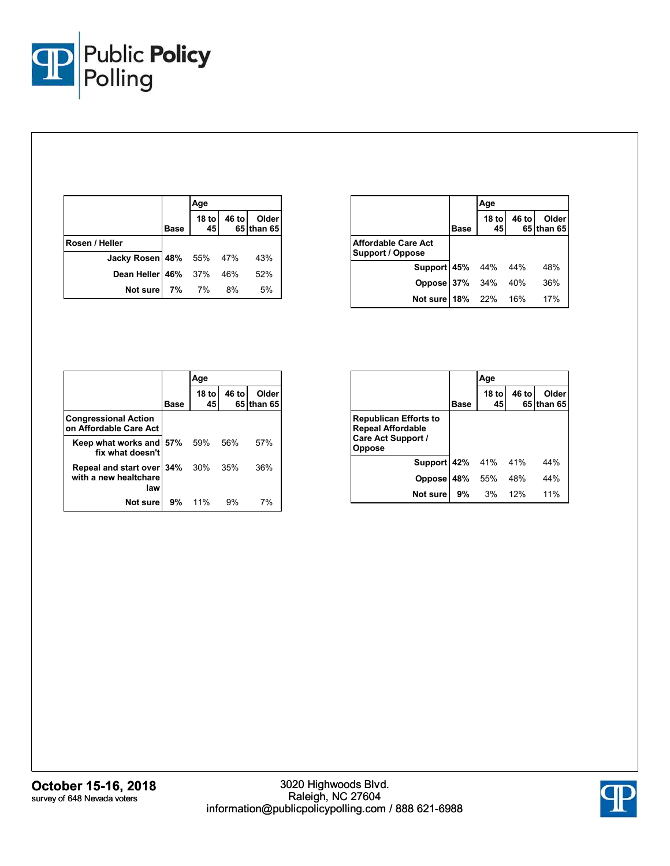

|                                |             | Age        |       |                     |
|--------------------------------|-------------|------------|-------|---------------------|
|                                | <b>Base</b> | 18 to $45$ | 46 to | Older<br>65 than 65 |
| Rosen / Heller                 |             |            |       |                     |
| <b>Jacky Rosen 48%</b> 55% 47% |             |            |       | 43%                 |
| Dean Heller   46% 37% 46%      |             |            |       | 52%                 |
| <b>Not sure   7% 7% 8%</b>     |             |            |       | 5%                  |

|                                                |             | Age           |       |                     |
|------------------------------------------------|-------------|---------------|-------|---------------------|
|                                                | <b>Base</b> | $18$ to<br>45 | 46 to | Older<br>65 than 65 |
| Affordable Care Act<br><b>Support / Oppose</b> |             |               |       |                     |
| <b>Support 45%</b> 44% 44%                     |             |               |       | 48%                 |
| <b>Oppose 37% 34%</b>                          |             |               | 40%   | 36%                 |
| Not sure   18% 22%                             |             |               | 16%   | 17%                 |

|                                                                   |      | Age           |       |                      |
|-------------------------------------------------------------------|------|---------------|-------|----------------------|
|                                                                   | Base | $18$ to<br>45 | 46 to | Older<br>65 Ithan 65 |
| <b>Congressional Action</b><br>on Affordable Care Act             |      |               |       |                      |
| Keep what works and 57%<br>fix what doesn't                       |      | 59%           | 56%   | 57%                  |
| Repeal and start over 34% 30% 35%<br>with a new healtchare<br>law |      |               |       | 36%                  |
| Not sure                                                          | 9%   | 11%           | 9%    | 7%                   |

|                                                                                                 |             | Age           |       |                     |
|-------------------------------------------------------------------------------------------------|-------------|---------------|-------|---------------------|
|                                                                                                 | <b>Base</b> | $18$ to<br>45 | 46 to | Older<br>65 than 65 |
| <b>Republican Efforts to</b><br><b>Repeal Affordable</b><br>Care Act Support /<br><b>Oppose</b> |             |               |       |                     |
| Support 42%                                                                                     |             | 41%           | 41%   | 44%                 |
| <b>Oppose</b>                                                                                   | 48%         | 55%           | 48%   | 44%                 |
| Not sure                                                                                        | 9%          | 3%            | 12%   | 11%                 |

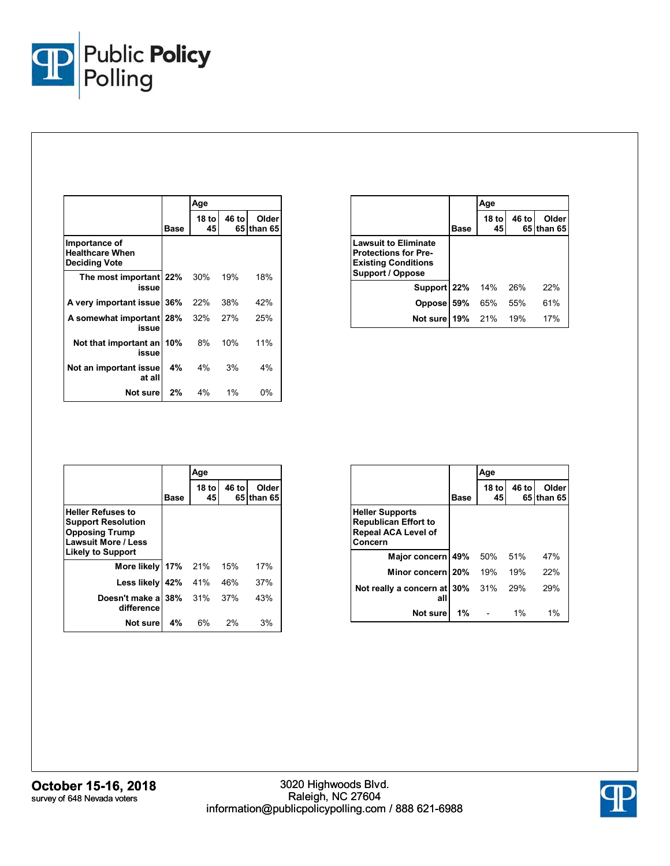

|                                                                 |       | Age           |               |                  |
|-----------------------------------------------------------------|-------|---------------|---------------|------------------|
|                                                                 | Base  | 18 to l<br>45 | 46 to<br>65 I | Older<br>than 65 |
| Importance of<br><b>Healthcare When</b><br><b>Deciding Vote</b> |       |               |               |                  |
| The most important 22%<br>issue                                 |       | 30%           | 19%           | 18%              |
| A very important issue   36%                                    |       | 22%           | 38%           | 42%              |
| A somewhat important   28%<br>issue                             |       | 32%           | 27%           | 25%              |
| Not that important an<br>issue                                  | l 10% | 8%            | 10%           | 11%              |
| Not an important issue<br>at all                                | 4%    | $4\%$         | 3%            | 4%               |
| Not surel                                                       | 2%    | 4%            | $1\%$         | 0%               |

|                                                                                                                     |             | Age           |       |                     |
|---------------------------------------------------------------------------------------------------------------------|-------------|---------------|-------|---------------------|
|                                                                                                                     | <b>Base</b> | $18$ to<br>45 | 46 to | Older<br>65 than 65 |
| <b>Lawsuit to Eliminate</b><br><b>Protections for Pre-</b><br><b>Existing Conditions</b><br><b>Support / Oppose</b> |             |               |       |                     |
| <b>Support 22% 14%</b>                                                                                              |             |               | 26%   | 22%                 |
| <b>Oppose</b>                                                                                                       | 59%         | 65%           | 55%   | 61%                 |
| Not sure                                                                                                            | 19% 21%     |               | 19%   | 17%                 |

|                                                                                                                                          |            | Age                    |             |                  |
|------------------------------------------------------------------------------------------------------------------------------------------|------------|------------------------|-------------|------------------|
|                                                                                                                                          | Base       | 18 <sub>to</sub><br>45 | 46 to<br>65 | Older<br>than 65 |
| <b>Heller Refuses to</b><br><b>Support Resolution</b><br><b>Opposing Trump</b><br><b>Lawsuit More / Less</b><br><b>Likely to Support</b> |            |                        |             |                  |
| More likely                                                                                                                              | <b>17%</b> | 21%                    | 15%         | 17%              |
| Less likely                                                                                                                              | 42%        | 41%                    | 46%         | 37%              |
| Doesn't make a<br>difference                                                                                                             | 38%        | 31%                    | 37%         | 43%              |
| Not sure                                                                                                                                 | 4%         | 6%                     | 2%          | 3%               |

|                                                                                                |             | Age         |       |                     |
|------------------------------------------------------------------------------------------------|-------------|-------------|-------|---------------------|
|                                                                                                | <b>Base</b> | 18 to<br>45 | 46 to | Older<br>65 than 65 |
| <b>Heller Supports</b><br><b>Republican Effort to</b><br><b>Repeal ACA Level of</b><br>Concern |             |             |       |                     |
| Major concern                                                                                  | 49%         | 50%         | 51%   | 47%                 |
| Minor concern 20%                                                                              |             | 19%         | 19%   | 22%                 |
| Not really a concern at<br>all                                                                 | l 30%       | 31%         | 29%   | 29%                 |
| Not sure                                                                                       | 1%          |             | $1\%$ | $1\%$               |